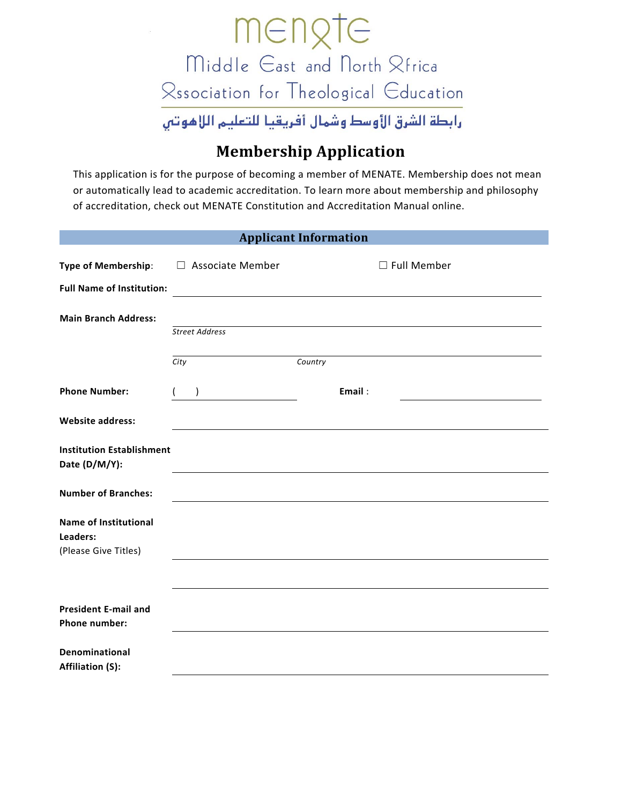

## **Membership Application**

This application is for the purpose of becoming a member of MENATE. Membership does not mean or automatically lead to academic accreditation. To learn more about membership and philosophy of accreditation, check out MENATE Constitution and Accreditation Manual online.

| <b>Applicant Information</b>                                     |                         |                    |  |  |  |  |  |
|------------------------------------------------------------------|-------------------------|--------------------|--|--|--|--|--|
| <b>Type of Membership:</b>                                       | $\Box$ Associate Member | $\Box$ Full Member |  |  |  |  |  |
| <b>Full Name of Institution:</b>                                 |                         |                    |  |  |  |  |  |
| <b>Main Branch Address:</b>                                      |                         |                    |  |  |  |  |  |
|                                                                  | <b>Street Address</b>   |                    |  |  |  |  |  |
|                                                                  | City                    | Country            |  |  |  |  |  |
| <b>Phone Number:</b>                                             | $\lambda$               | Email:             |  |  |  |  |  |
| <b>Website address:</b>                                          |                         |                    |  |  |  |  |  |
| <b>Institution Establishment</b><br>Date (D/M/Y):                |                         |                    |  |  |  |  |  |
| <b>Number of Branches:</b>                                       |                         |                    |  |  |  |  |  |
| <b>Name of Institutional</b><br>Leaders:<br>(Please Give Titles) |                         |                    |  |  |  |  |  |
|                                                                  |                         |                    |  |  |  |  |  |
| <b>President E-mail and</b><br>Phone number:                     |                         |                    |  |  |  |  |  |
| Denominational<br><b>Affiliation (S):</b>                        |                         |                    |  |  |  |  |  |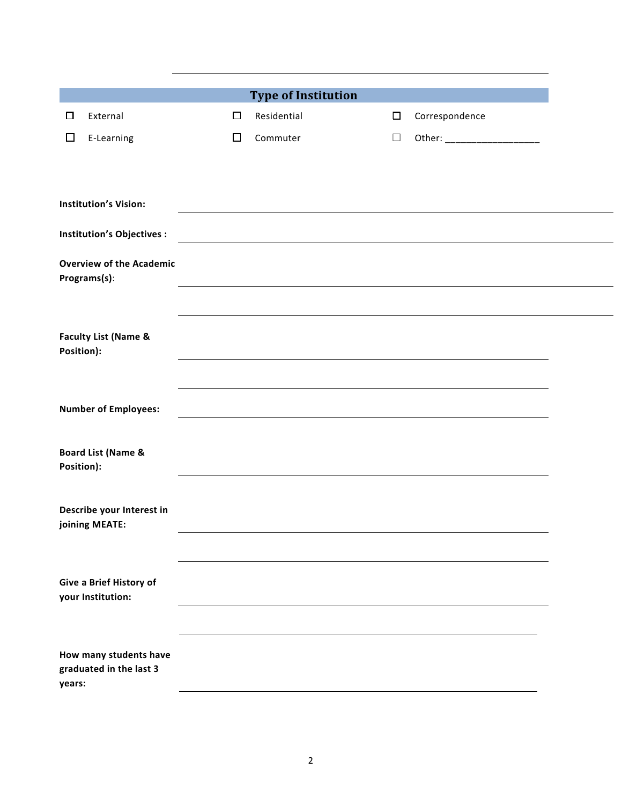| □          | External                                          | $\Box$ | <b>Type of Institution</b><br>Residential |                                                                                                                       | $\Box$ |                               |
|------------|---------------------------------------------------|--------|-------------------------------------------|-----------------------------------------------------------------------------------------------------------------------|--------|-------------------------------|
|            |                                                   |        |                                           |                                                                                                                       |        | Correspondence                |
| □          | E-Learning                                        | $\Box$ | Commuter                                  |                                                                                                                       | $\Box$ | Other: ______________________ |
|            |                                                   |        |                                           |                                                                                                                       |        |                               |
|            |                                                   |        |                                           |                                                                                                                       |        |                               |
|            | <b>Institution's Vision:</b>                      |        |                                           |                                                                                                                       |        |                               |
|            | <b>Institution's Objectives:</b>                  |        |                                           | <u> 1980 - Johann Barn, mars ann an t-Amhain Aonaich an t-Aonaich an t-Aonaich an t-Aonaich an t-Aonaich an t-Aon</u> |        |                               |
|            | <b>Overview of the Academic</b>                   |        |                                           |                                                                                                                       |        |                               |
|            | Programs(s):                                      |        |                                           |                                                                                                                       |        |                               |
|            |                                                   |        |                                           |                                                                                                                       |        |                               |
|            |                                                   |        |                                           |                                                                                                                       |        |                               |
| Position): | <b>Faculty List (Name &amp;</b>                   |        |                                           |                                                                                                                       |        |                               |
|            |                                                   |        |                                           |                                                                                                                       |        |                               |
|            |                                                   |        |                                           |                                                                                                                       |        |                               |
|            | <b>Number of Employees:</b>                       |        |                                           |                                                                                                                       |        |                               |
|            |                                                   |        |                                           |                                                                                                                       |        |                               |
| Position): | <b>Board List (Name &amp;</b>                     |        |                                           |                                                                                                                       |        |                               |
|            |                                                   |        |                                           |                                                                                                                       |        |                               |
|            | Describe your Interest in                         |        |                                           |                                                                                                                       |        |                               |
|            | joining MEATE:                                    |        |                                           |                                                                                                                       |        |                               |
|            |                                                   |        |                                           |                                                                                                                       |        |                               |
|            |                                                   |        |                                           |                                                                                                                       |        |                               |
|            | Give a Brief History of<br>your Institution:      |        |                                           |                                                                                                                       |        |                               |
|            |                                                   |        |                                           |                                                                                                                       |        |                               |
|            |                                                   |        |                                           |                                                                                                                       |        |                               |
|            | How many students have<br>graduated in the last 3 |        |                                           |                                                                                                                       |        |                               |
| years:     |                                                   |        |                                           |                                                                                                                       |        |                               |